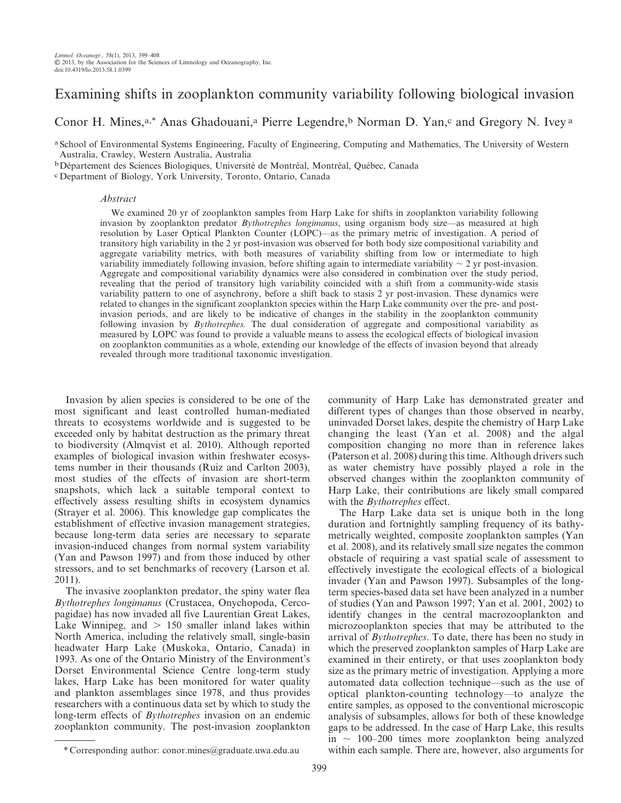# Examining shifts in zooplankton community variability following biological invasion

Conor H. Mines,<sup>a,\*</sup> Anas Ghadouani,<sup>a</sup> Pierre Legendre,<sup>b</sup> Norman D. Yan,<sup>c</sup> and Gregory N. Ivey<sup>a</sup>

a School of Environmental Systems Engineering, Faculty of Engineering, Computing and Mathematics, The University of Western Australia, Crawley, Western Australia, Australia

<sup>b</sup>Département des Sciences Biologiques, Université de Montréal, Montréal, Québec, Canada

c Department of Biology, York University, Toronto, Ontario, Canada

#### Abstract

We examined 20 yr of zooplankton samples from Harp Lake for shifts in zooplankton variability following invasion by zooplankton predator Bythotrephes longimanus, using organism body size—as measured at high resolution by Laser Optical Plankton Counter (LOPC)—as the primary metric of investigation. A period of transitory high variability in the 2 yr post-invasion was observed for both body size compositional variability and aggregate variability metrics, with both measures of variability shifting from low or intermediate to high variability immediately following invasion, before shifting again to intermediate variability  $\sim$  2 yr post-invasion. Aggregate and compositional variability dynamics were also considered in combination over the study period, revealing that the period of transitory high variability coincided with a shift from a community-wide stasis variability pattern to one of asynchrony, before a shift back to stasis 2 yr post-invasion. These dynamics were related to changes in the significant zooplankton species within the Harp Lake community over the pre- and postinvasion periods, and are likely to be indicative of changes in the stability in the zooplankton community following invasion by *Bythotrephes*. The dual consideration of aggregate and compositional variability as measured by LOPC was found to provide a valuable means to assess the ecological effects of biological invasion on zooplankton communities as a whole, extending our knowledge of the effects of invasion beyond that already revealed through more traditional taxonomic investigation.

Invasion by alien species is considered to be one of the most significant and least controlled human-mediated threats to ecosystems worldwide and is suggested to be exceeded only by habitat destruction as the primary threat to biodiversity (Almqvist et al. 2010). Although reported examples of biological invasion within freshwater ecosystems number in their thousands (Ruiz and Carlton 2003), most studies of the effects of invasion are short-term snapshots, which lack a suitable temporal context to effectively assess resulting shifts in ecosystem dynamics (Strayer et al. 2006). This knowledge gap complicates the establishment of effective invasion management strategies, because long-term data series are necessary to separate invasion-induced changes from normal system variability (Yan and Pawson 1997) and from those induced by other stressors, and to set benchmarks of recovery (Larson et al. 2011).

The invasive zooplankton predator, the spiny water flea Bythotrephes longimanus (Crustacea, Onychopoda, Cercopagidae) has now invaded all five Laurentian Great Lakes, Lake Winnipeg, and  $> 150$  smaller inland lakes within North America, including the relatively small, single-basin headwater Harp Lake (Muskoka, Ontario, Canada) in 1993. As one of the Ontario Ministry of the Environment's Dorset Environmental Science Centre long-term study lakes, Harp Lake has been monitored for water quality and plankton assemblages since 1978, and thus provides researchers with a continuous data set by which to study the long-term effects of *Bythotrephes* invasion on an endemic zooplankton community. The post-invasion zooplankton

community of Harp Lake has demonstrated greater and different types of changes than those observed in nearby, uninvaded Dorset lakes, despite the chemistry of Harp Lake changing the least (Yan et al. 2008) and the algal composition changing no more than in reference lakes (Paterson et al. 2008) during this time. Although drivers such as water chemistry have possibly played a role in the observed changes within the zooplankton community of Harp Lake, their contributions are likely small compared with the *Bythotrephes* effect.

The Harp Lake data set is unique both in the long duration and fortnightly sampling frequency of its bathymetrically weighted, composite zooplankton samples (Yan et al. 2008), and its relatively small size negates the common obstacle of requiring a vast spatial scale of assessment to effectively investigate the ecological effects of a biological invader (Yan and Pawson 1997). Subsamples of the longterm species-based data set have been analyzed in a number of studies (Yan and Pawson 1997; Yan et al. 2001, 2002) to identify changes in the central macrozooplankton and microzooplankton species that may be attributed to the arrival of *Bythotrephes*. To date, there has been no study in which the preserved zooplankton samples of Harp Lake are examined in their entirety, or that uses zooplankton body size as the primary metric of investigation. Applying a more automated data collection technique—such as the use of optical plankton-counting technology—to analyze the entire samples, as opposed to the conventional microscopic analysis of subsamples, allows for both of these knowledge gaps to be addressed. In the case of Harp Lake, this results in  $\sim$  100–200 times more zooplankton being analyzed \* Corresponding author: conor.mines@graduate.uwa.edu.au within each sample. There are, however, also arguments for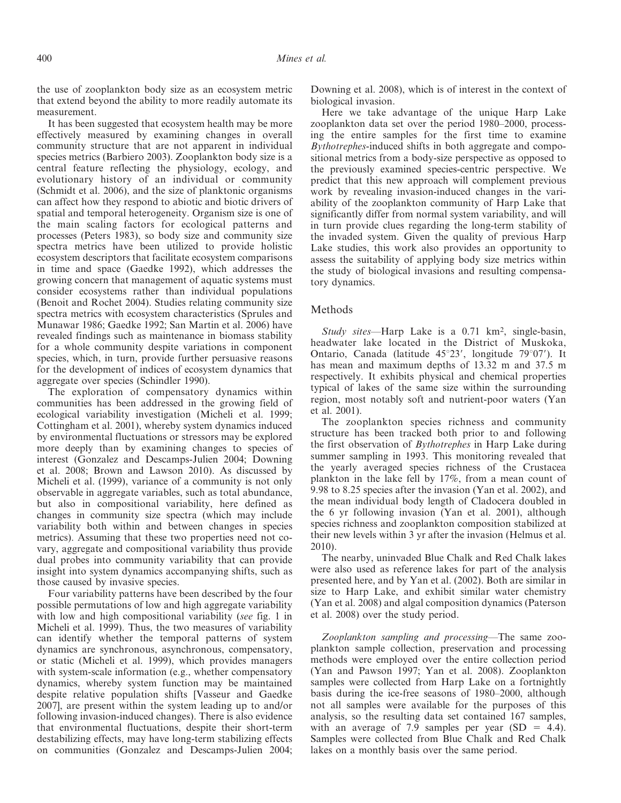the use of zooplankton body size as an ecosystem metric that extend beyond the ability to more readily automate its measurement.

It has been suggested that ecosystem health may be more effectively measured by examining changes in overall community structure that are not apparent in individual species metrics (Barbiero 2003). Zooplankton body size is a central feature reflecting the physiology, ecology, and evolutionary history of an individual or community (Schmidt et al. 2006), and the size of planktonic organisms can affect how they respond to abiotic and biotic drivers of spatial and temporal heterogeneity. Organism size is one of the main scaling factors for ecological patterns and processes (Peters 1983), so body size and community size spectra metrics have been utilized to provide holistic ecosystem descriptors that facilitate ecosystem comparisons in time and space (Gaedke 1992), which addresses the growing concern that management of aquatic systems must consider ecosystems rather than individual populations (Benoit and Rochet 2004). Studies relating community size spectra metrics with ecosystem characteristics (Sprules and Munawar 1986; Gaedke 1992; San Martin et al. 2006) have revealed findings such as maintenance in biomass stability for a whole community despite variations in component species, which, in turn, provide further persuasive reasons for the development of indices of ecosystem dynamics that aggregate over species (Schindler 1990).

The exploration of compensatory dynamics within communities has been addressed in the growing field of ecological variability investigation (Micheli et al. 1999; Cottingham et al. 2001), whereby system dynamics induced by environmental fluctuations or stressors may be explored more deeply than by examining changes to species of interest (Gonzalez and Descamps-Julien 2004; Downing et al. 2008; Brown and Lawson 2010). As discussed by Micheli et al. (1999), variance of a community is not only observable in aggregate variables, such as total abundance, but also in compositional variability, here defined as changes in community size spectra (which may include variability both within and between changes in species metrics). Assuming that these two properties need not covary, aggregate and compositional variability thus provide dual probes into community variability that can provide insight into system dynamics accompanying shifts, such as those caused by invasive species.

Four variability patterns have been described by the four possible permutations of low and high aggregate variability with low and high compositional variability (see fig. 1 in Micheli et al. 1999). Thus, the two measures of variability can identify whether the temporal patterns of system dynamics are synchronous, asynchronous, compensatory, or static (Micheli et al. 1999), which provides managers with system-scale information (e.g., whether compensatory dynamics, whereby system function may be maintained despite relative population shifts [Vasseur and Gaedke 2007], are present within the system leading up to and/or following invasion-induced changes). There is also evidence that environmental fluctuations, despite their short-term destabilizing effects, may have long-term stabilizing effects on communities (Gonzalez and Descamps-Julien 2004; Downing et al. 2008), which is of interest in the context of biological invasion.

Here we take advantage of the unique Harp Lake zooplankton data set over the period 1980–2000, processing the entire samples for the first time to examine Bythotrephes-induced shifts in both aggregate and compositional metrics from a body-size perspective as opposed to the previously examined species-centric perspective. We predict that this new approach will complement previous work by revealing invasion-induced changes in the variability of the zooplankton community of Harp Lake that significantly differ from normal system variability, and will in turn provide clues regarding the long-term stability of the invaded system. Given the quality of previous Harp Lake studies, this work also provides an opportunity to assess the suitability of applying body size metrics within the study of biological invasions and resulting compensatory dynamics.

# Methods

Study sites—Harp Lake is a 0.71 km2, single-basin, headwater lake located in the District of Muskoka, Ontario, Canada (latitude  $45^{\circ}23'$ , longitude 79°07′). It has mean and maximum depths of 13.32 m and 37.5 m respectively. It exhibits physical and chemical properties typical of lakes of the same size within the surrounding region, most notably soft and nutrient-poor waters (Yan et al. 2001).

The zooplankton species richness and community structure has been tracked both prior to and following the first observation of Bythotrephes in Harp Lake during summer sampling in 1993. This monitoring revealed that the yearly averaged species richness of the Crustacea plankton in the lake fell by 17%, from a mean count of 9.98 to 8.25 species after the invasion (Yan et al. 2002), and the mean individual body length of Cladocera doubled in the 6 yr following invasion (Yan et al. 2001), although species richness and zooplankton composition stabilized at their new levels within 3 yr after the invasion (Helmus et al. 2010).

The nearby, uninvaded Blue Chalk and Red Chalk lakes were also used as reference lakes for part of the analysis presented here, and by Yan et al. (2002). Both are similar in size to Harp Lake, and exhibit similar water chemistry (Yan et al. 2008) and algal composition dynamics (Paterson et al. 2008) over the study period.

Zooplankton sampling and processing—The same zooplankton sample collection, preservation and processing methods were employed over the entire collection period (Yan and Pawson 1997; Yan et al. 2008). Zooplankton samples were collected from Harp Lake on a fortnightly basis during the ice-free seasons of 1980–2000, although not all samples were available for the purposes of this analysis, so the resulting data set contained 167 samples, with an average of 7.9 samples per year  $(SD = 4.4)$ . Samples were collected from Blue Chalk and Red Chalk lakes on a monthly basis over the same period.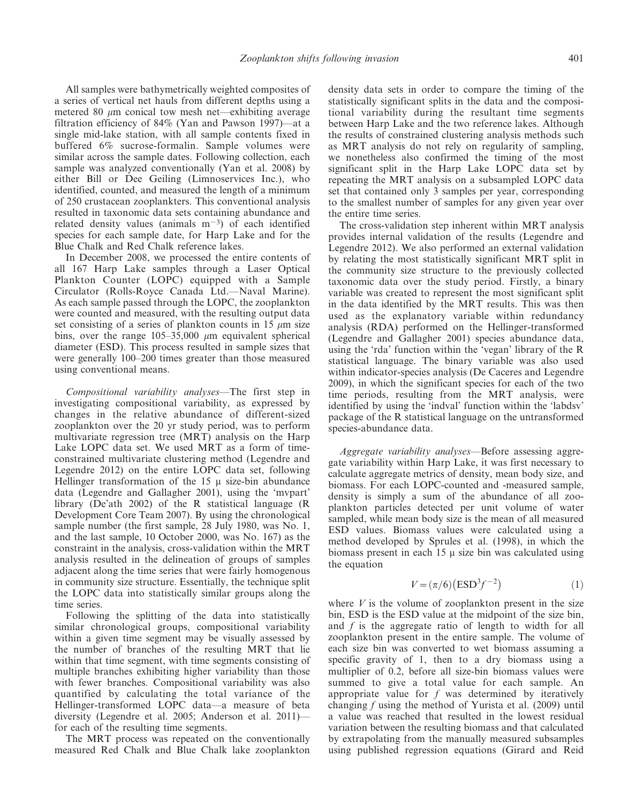All samples were bathymetrically weighted composites of a series of vertical net hauls from different depths using a metered 80  $\mu$ m conical tow mesh net—exhibiting average filtration efficiency of 84% (Yan and Pawson 1997)—at a single mid-lake station, with all sample contents fixed in buffered 6% sucrose-formalin. Sample volumes were similar across the sample dates. Following collection, each sample was analyzed conventionally (Yan et al. 2008) by either Bill or Dee Geiling (Limnoservices Inc.), who identified, counted, and measured the length of a minimum of 250 crustacean zooplankters. This conventional analysis resulted in taxonomic data sets containing abundance and related density values (animals  $m^{-3}$ ) of each identified species for each sample date, for Harp Lake and for the Blue Chalk and Red Chalk reference lakes.

In December 2008, we processed the entire contents of all 167 Harp Lake samples through a Laser Optical Plankton Counter (LOPC) equipped with a Sample Circulator (Rolls-Royce Canada Ltd.—Naval Marine). As each sample passed through the LOPC, the zooplankton were counted and measured, with the resulting output data set consisting of a series of plankton counts in 15  $\mu$ m size bins, over the range  $105-35,000 \mu m$  equivalent spherical diameter (ESD). This process resulted in sample sizes that were generally 100–200 times greater than those measured using conventional means.

Compositional variability analyses—The first step in investigating compositional variability, as expressed by changes in the relative abundance of different-sized zooplankton over the 20 yr study period, was to perform multivariate regression tree (MRT) analysis on the Harp Lake LOPC data set. We used MRT as a form of timeconstrained multivariate clustering method (Legendre and Legendre 2012) on the entire LOPC data set, following Hellinger transformation of the  $15 \mu$  size-bin abundance data (Legendre and Gallagher 2001), using the 'mvpart' library (De'ath 2002) of the R statistical language (R Development Core Team 2007). By using the chronological sample number (the first sample, 28 July 1980, was No. 1, and the last sample, 10 October 2000, was No. 167) as the constraint in the analysis, cross-validation within the MRT analysis resulted in the delineation of groups of samples adjacent along the time series that were fairly homogenous in community size structure. Essentially, the technique split the LOPC data into statistically similar groups along the time series.

Following the splitting of the data into statistically similar chronological groups, compositional variability within a given time segment may be visually assessed by the number of branches of the resulting MRT that lie within that time segment, with time segments consisting of multiple branches exhibiting higher variability than those with fewer branches. Compositional variability was also quantified by calculating the total variance of the Hellinger-transformed LOPC data—a measure of beta diversity (Legendre et al. 2005; Anderson et al. 2011) for each of the resulting time segments.

The MRT process was repeated on the conventionally measured Red Chalk and Blue Chalk lake zooplankton

density data sets in order to compare the timing of the statistically significant splits in the data and the compositional variability during the resultant time segments between Harp Lake and the two reference lakes. Although the results of constrained clustering analysis methods such as MRT analysis do not rely on regularity of sampling, we nonetheless also confirmed the timing of the most significant split in the Harp Lake LOPC data set by repeating the MRT analysis on a subsampled LOPC data set that contained only 3 samples per year, corresponding to the smallest number of samples for any given year over the entire time series.

The cross-validation step inherent within MRT analysis provides internal validation of the results (Legendre and Legendre 2012). We also performed an external validation by relating the most statistically significant MRT split in the community size structure to the previously collected taxonomic data over the study period. Firstly, a binary variable was created to represent the most significant split in the data identified by the MRT results. This was then used as the explanatory variable within redundancy analysis (RDA) performed on the Hellinger-transformed (Legendre and Gallagher 2001) species abundance data, using the 'rda' function within the 'vegan' library of the R statistical language. The binary variable was also used within indicator-species analysis (De Caceres and Legendre 2009), in which the significant species for each of the two time periods, resulting from the MRT analysis, were identified by using the 'indval' function within the 'labdsv' package of the R statistical language on the untransformed species-abundance data.

Aggregate variability analyses—Before assessing aggregate variability within Harp Lake, it was first necessary to calculate aggregate metrics of density, mean body size, and biomass. For each LOPC-counted and -measured sample, density is simply a sum of the abundance of all zooplankton particles detected per unit volume of water sampled, while mean body size is the mean of all measured ESD values. Biomass values were calculated using a method developed by Sprules et al. (1998), in which the biomass present in each  $15 \mu$  size bin was calculated using the equation

$$
V = (\pi/6) \left( \text{ESD}^3 f^{-2} \right) \tag{1}
$$

where  $V$  is the volume of zooplankton present in the size bin, ESD is the ESD value at the midpoint of the size bin, and f is the aggregate ratio of length to width for all zooplankton present in the entire sample. The volume of each size bin was converted to wet biomass assuming a specific gravity of 1, then to a dry biomass using a multiplier of 0.2, before all size-bin biomass values were summed to give a total value for each sample. An appropriate value for  $f$  was determined by iteratively changing  $f$  using the method of Yurista et al. (2009) until a value was reached that resulted in the lowest residual variation between the resulting biomass and that calculated by extrapolating from the manually measured subsamples using published regression equations (Girard and Reid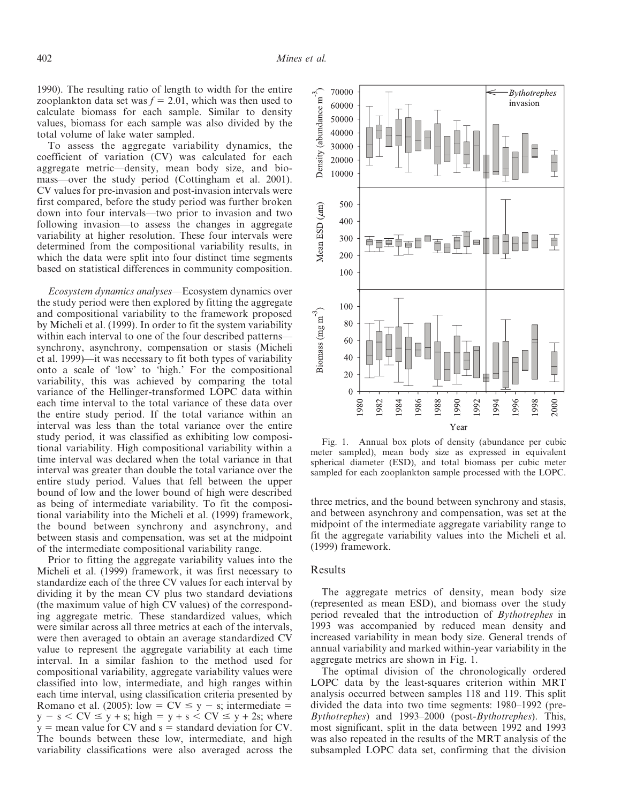1990). The resulting ratio of length to width for the entire zooplankton data set was  $f = 2.01$ , which was then used to calculate biomass for each sample. Similar to density values, biomass for each sample was also divided by the total volume of lake water sampled.

To assess the aggregate variability dynamics, the coefficient of variation (CV) was calculated for each aggregate metric—density, mean body size, and biomass—over the study period (Cottingham et al. 2001). CV values for pre-invasion and post-invasion intervals were first compared, before the study period was further broken down into four intervals—two prior to invasion and two following invasion—to assess the changes in aggregate variability at higher resolution. These four intervals were determined from the compositional variability results, in which the data were split into four distinct time segments based on statistical differences in community composition.

Ecosystem dynamics analyses—Ecosystem dynamics over the study period were then explored by fitting the aggregate and compositional variability to the framework proposed by Micheli et al. (1999). In order to fit the system variability within each interval to one of the four described patterns synchrony, asynchrony, compensation or stasis (Micheli et al. 1999)—it was necessary to fit both types of variability onto a scale of 'low' to 'high.' For the compositional variability, this was achieved by comparing the total variance of the Hellinger-transformed LOPC data within each time interval to the total variance of these data over the entire study period. If the total variance within an interval was less than the total variance over the entire study period, it was classified as exhibiting low compositional variability. High compositional variability within a time interval was declared when the total variance in that interval was greater than double the total variance over the entire study period. Values that fell between the upper bound of low and the lower bound of high were described as being of intermediate variability. To fit the compositional variability into the Micheli et al. (1999) framework, the bound between synchrony and asynchrony, and between stasis and compensation, was set at the midpoint of the intermediate compositional variability range.

Prior to fitting the aggregate variability values into the Micheli et al. (1999) framework, it was first necessary to standardize each of the three CV values for each interval by dividing it by the mean CV plus two standard deviations (the maximum value of high CV values) of the corresponding aggregate metric. These standardized values, which were similar across all three metrics at each of the intervals, were then averaged to obtain an average standardized CV value to represent the aggregate variability at each time interval. In a similar fashion to the method used for compositional variability, aggregate variability values were classified into low, intermediate, and high ranges within each time interval, using classification criteria presented by Romano et al. (2005): low =  $CV \le y - s$ ; intermediate =  $y - s < CV \le y + s$ ; high =  $y + s < CV \le y + 2s$ ; where  $y =$  mean value for CV and  $s =$  standard deviation for CV. The bounds between these low, intermediate, and high variability classifications were also averaged across the



Fig. 1. Annual box plots of density (abundance per cubic meter sampled), mean body size as expressed in equivalent spherical diameter (ESD), and total biomass per cubic meter sampled for each zooplankton sample processed with the LOPC.

three metrics, and the bound between synchrony and stasis, and between asynchrony and compensation, was set at the midpoint of the intermediate aggregate variability range to fit the aggregate variability values into the Micheli et al. (1999) framework.

### Results

The aggregate metrics of density, mean body size (represented as mean ESD), and biomass over the study period revealed that the introduction of Bythotrephes in 1993 was accompanied by reduced mean density and increased variability in mean body size. General trends of annual variability and marked within-year variability in the aggregate metrics are shown in Fig. 1.

The optimal division of the chronologically ordered LOPC data by the least-squares criterion within MRT analysis occurred between samples 118 and 119. This split divided the data into two time segments: 1980–1992 (pre-Bythotrephes) and 1993–2000 (post-Bythotrephes). This, most significant, split in the data between 1992 and 1993 was also repeated in the results of the MRT analysis of the subsampled LOPC data set, confirming that the division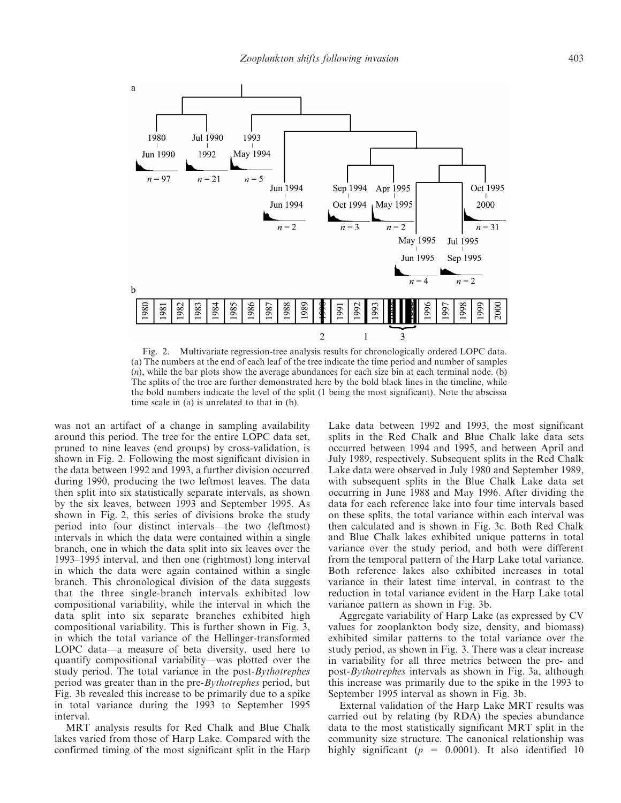

Fig. 2. Multivariate regression-tree analysis results for chronologically ordered LOPC data. (a) The numbers at the end of each leaf of the tree indicate the time period and number of samples  $(n)$ , while the bar plots show the average abundances for each size bin at each terminal node. (b) The splits of the tree are further demonstrated here by the bold black lines in the timeline, while the bold numbers indicate the level of the split (1 being the most significant). Note the abscissa time scale in (a) is unrelated to that in (b).

was not an artifact of a change in sampling availability around this period. The tree for the entire LOPC data set, pruned to nine leaves (end groups) by cross-validation, is shown in Fig. 2. Following the most significant division in the data between 1992 and 1993, a further division occurred during 1990, producing the two leftmost leaves. The data then split into six statistically separate intervals, as shown by the six leaves, between 1993 and September 1995. As shown in Fig. 2, this series of divisions broke the study period into four distinct intervals—the two (leftmost) intervals in which the data were contained within a single branch, one in which the data split into six leaves over the 1993–1995 interval, and then one (rightmost) long interval in which the data were again contained within a single branch. This chronological division of the data suggests that the three single-branch intervals exhibited low compositional variability, while the interval in which the data split into six separate branches exhibited high compositional variability. This is further shown in Fig. 3, in which the total variance of the Hellinger-transformed LOPC data—a measure of beta diversity, used here to quantify compositional variability—was plotted over the study period. The total variance in the post-*Bythotrephes* period was greater than in the pre-Bythotrephes period, but Fig. 3b revealed this increase to be primarily due to a spike in total variance during the 1993 to September 1995 interval.

MRT analysis results for Red Chalk and Blue Chalk lakes varied from those of Harp Lake. Compared with the confirmed timing of the most significant split in the Harp

Lake data between 1992 and 1993, the most significant splits in the Red Chalk and Blue Chalk lake data sets occurred between 1994 and 1995, and between April and July 1989, respectively. Subsequent splits in the Red Chalk Lake data were observed in July 1980 and September 1989, with subsequent splits in the Blue Chalk Lake data set occurring in June 1988 and May 1996. After dividing the data for each reference lake into four time intervals based on these splits, the total variance within each interval was then calculated and is shown in Fig. 3c. Both Red Chalk and Blue Chalk lakes exhibited unique patterns in total variance over the study period, and both were different from the temporal pattern of the Harp Lake total variance. Both reference lakes also exhibited increases in total variance in their latest time interval, in contrast to the reduction in total variance evident in the Harp Lake total variance pattern as shown in Fig. 3b.

Aggregate variability of Harp Lake (as expressed by CV values for zooplankton body size, density, and biomass) exhibited similar patterns to the total variance over the study period, as shown in Fig. 3. There was a clear increase in variability for all three metrics between the pre- and post-Bythotrephes intervals as shown in Fig. 3a, although this increase was primarily due to the spike in the 1993 to September 1995 interval as shown in Fig. 3b.

External validation of the Harp Lake MRT results was carried out by relating (by RDA) the species abundance data to the most statistically significant MRT split in the community size structure. The canonical relationship was highly significant ( $p = 0.0001$ ). It also identified 10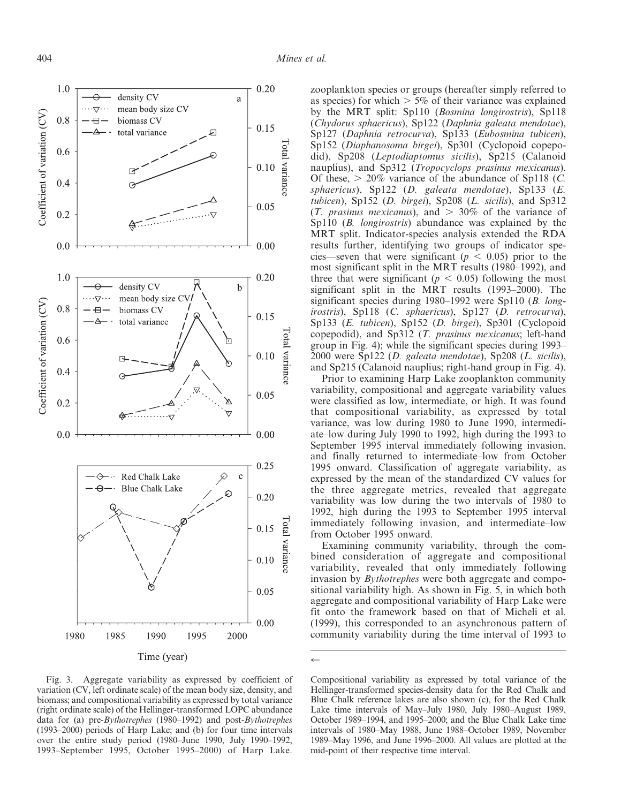$\leftarrow$ 



Fig. 3. Aggregate variability as expressed by coefficient of variation (CV, left ordinate scale) of the mean body size, density, and biomass; and compositional variability as expressed by total variance (right ordinate scale) of the Hellinger-transformed LOPC abundance data for (a) pre-Bythotrephes (1980–1992) and post-Bythotrephes (1993–2000) periods of Harp Lake; and (b) for four time intervals over the entire study period (1980–June 1990, July 1990–1992, 1993–September 1995, October 1995–2000) of Harp Lake.

zooplankton species or groups (hereafter simply referred to as species) for which  $> 5\%$  of their variance was explained by the MRT split: Sp110 (Bosmina longirostris), Sp118 (Chydorus sphaericus), Sp122 (Daphnia galeata mendotae), Sp127 (Daphnia retrocurva), Sp133 (Eubosmina tubicen), Sp152 (Diaphanosoma birgei), Sp301 (Cyclopoid copepodid), Sp208 (Leptodiaptomus sicilis), Sp215 (Calanoid nauplius), and Sp312 (Tropocyclops prasinus mexicanus). Of these,  $> 20\%$  variance of the abundance of Sp118 (C. sphaericus), Sp122 (D. galeata mendotae), Sp133 (E. tubicen), Sp152 (D. birgei), Sp208 (L. sicilis), and Sp312 (T. prasinus mexicanus), and  $> 30\%$  of the variance of Sp110 (B. longirostris) abundance was explained by the MRT split. Indicator-species analysis extended the RDA results further, identifying two groups of indicator species—seven that were significant ( $p < 0.05$ ) prior to the most significant split in the MRT results (1980–1992), and three that were significant ( $p < 0.05$ ) following the most significant split in the MRT results (1993–2000). The significant species during 1980–1992 were Sp110 (B. longirostris), Sp118 (C. sphaericus), Sp127 (D. retrocurva), Sp133 (E. tubicen), Sp152 (D. birgei), Sp301 (Cyclopoid copepodid), and Sp312 (T. prasinus mexicanus; left-hand group in Fig. 4); while the significant species during 1993– 2000 were Sp122 (D. galeata mendotae), Sp208 (L. sicilis), and Sp215 (Calanoid nauplius; right-hand group in Fig. 4).

Prior to examining Harp Lake zooplankton community variability, compositional and aggregate variability values were classified as low, intermediate, or high. It was found that compositional variability, as expressed by total variance, was low during 1980 to June 1990, intermediate–low during July 1990 to 1992, high during the 1993 to September 1995 interval immediately following invasion, and finally returned to intermediate–low from October 1995 onward. Classification of aggregate variability, as expressed by the mean of the standardized CV values for the three aggregate metrics, revealed that aggregate variability was low during the two intervals of 1980 to 1992, high during the 1993 to September 1995 interval immediately following invasion, and intermediate–low from October 1995 onward.

Examining community variability, through the combined consideration of aggregate and compositional variability, revealed that only immediately following invasion by Bythotrephes were both aggregate and compositional variability high. As shown in Fig. 5, in which both aggregate and compositional variability of Harp Lake were fit onto the framework based on that of Micheli et al. (1999), this corresponded to an asynchronous pattern of community variability during the time interval of 1993 to

Compositional variability as expressed by total variance of the Hellinger-transformed species-density data for the Red Chalk and Blue Chalk reference lakes are also shown (c), for the Red Chalk Lake time intervals of May–July 1980, July 1980–August 1989, October 1989–1994, and 1995–2000; and the Blue Chalk Lake time intervals of 1980–May 1988, June 1988–October 1989, November 1989–May 1996, and June 1996–2000. All values are plotted at the mid-point of their respective time interval.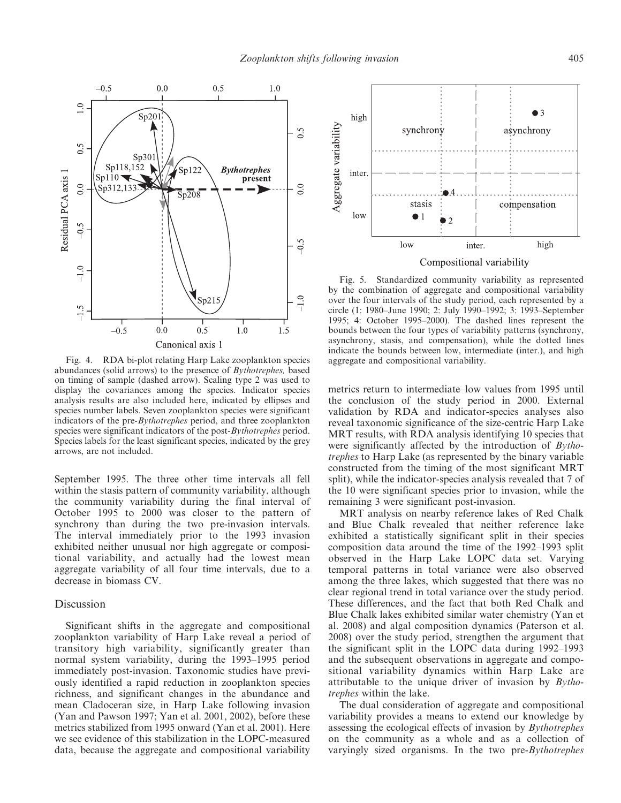Fig. 4. RDA bi-plot relating Harp Lake zooplankton species abundances (solid arrows) to the presence of Bythotrephes, based on timing of sample (dashed arrow). Scaling type 2 was used to display the covariances among the species. Indicator species analysis results are also included here, indicated by ellipses and species number labels. Seven zooplankton species were significant indicators of the pre-Bythotrephes period, and three zooplankton species were significant indicators of the post-*Bythotrephes* period. Species labels for the least significant species, indicated by the grey arrows, are not included.

Canonical axis 1

September 1995. The three other time intervals all fell within the stasis pattern of community variability, although the community variability during the final interval of October 1995 to 2000 was closer to the pattern of synchrony than during the two pre-invasion intervals. The interval immediately prior to the 1993 invasion exhibited neither unusual nor high aggregate or compositional variability, and actually had the lowest mean aggregate variability of all four time intervals, due to a decrease in biomass CV.

#### Discussion

Significant shifts in the aggregate and compositional zooplankton variability of Harp Lake reveal a period of transitory high variability, significantly greater than normal system variability, during the 1993–1995 period immediately post-invasion. Taxonomic studies have previously identified a rapid reduction in zooplankton species richness, and significant changes in the abundance and mean Cladoceran size, in Harp Lake following invasion (Yan and Pawson 1997; Yan et al. 2001, 2002), before these metrics stabilized from 1995 onward (Yan et al. 2001). Here we see evidence of this stabilization in the LOPC-measured data, because the aggregate and compositional variability



metrics return to intermediate–low values from 1995 until the conclusion of the study period in 2000. External validation by RDA and indicator-species analyses also reveal taxonomic significance of the size-centric Harp Lake MRT results, with RDA analysis identifying 10 species that were significantly affected by the introduction of Bythotrephes to Harp Lake (as represented by the binary variable constructed from the timing of the most significant MRT split), while the indicator-species analysis revealed that 7 of the 10 were significant species prior to invasion, while the remaining 3 were significant post-invasion.

MRT analysis on nearby reference lakes of Red Chalk and Blue Chalk revealed that neither reference lake exhibited a statistically significant split in their species composition data around the time of the 1992–1993 split observed in the Harp Lake LOPC data set. Varying temporal patterns in total variance were also observed among the three lakes, which suggested that there was no clear regional trend in total variance over the study period. These differences, and the fact that both Red Chalk and Blue Chalk lakes exhibited similar water chemistry (Yan et al. 2008) and algal composition dynamics (Paterson et al. 2008) over the study period, strengthen the argument that the significant split in the LOPC data during 1992–1993 and the subsequent observations in aggregate and compositional variability dynamics within Harp Lake are attributable to the unique driver of invasion by *Bytho*trephes within the lake.

The dual consideration of aggregate and compositional variability provides a means to extend our knowledge by assessing the ecological effects of invasion by *Bythotrephes* on the community as a whole and as a collection of varyingly sized organisms. In the two pre-Bythotrephes



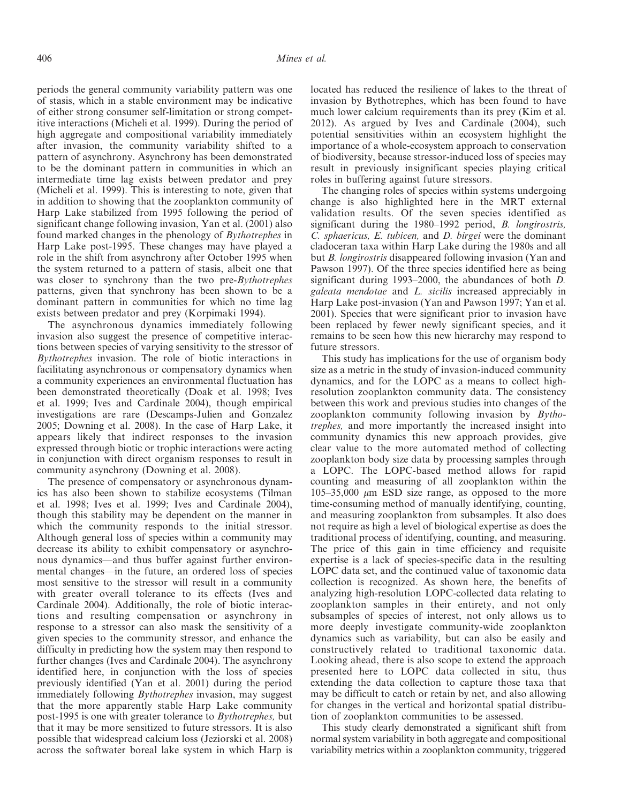periods the general community variability pattern was one of stasis, which in a stable environment may be indicative of either strong consumer self-limitation or strong competitive interactions (Micheli et al. 1999). During the period of high aggregate and compositional variability immediately after invasion, the community variability shifted to a pattern of asynchrony. Asynchrony has been demonstrated to be the dominant pattern in communities in which an intermediate time lag exists between predator and prey (Micheli et al. 1999). This is interesting to note, given that in addition to showing that the zooplankton community of Harp Lake stabilized from 1995 following the period of significant change following invasion, Yan et al. (2001) also found marked changes in the phenology of Bythotrephes in Harp Lake post-1995. These changes may have played a role in the shift from asynchrony after October 1995 when the system returned to a pattern of stasis, albeit one that was closer to synchrony than the two pre-Bythotrephes patterns, given that synchrony has been shown to be a dominant pattern in communities for which no time lag exists between predator and prey (Korpimaki 1994).

The asynchronous dynamics immediately following invasion also suggest the presence of competitive interactions between species of varying sensitivity to the stressor of Bythotrephes invasion. The role of biotic interactions in facilitating asynchronous or compensatory dynamics when a community experiences an environmental fluctuation has been demonstrated theoretically (Doak et al. 1998; Ives et al. 1999; Ives and Cardinale 2004), though empirical investigations are rare (Descamps-Julien and Gonzalez 2005; Downing et al. 2008). In the case of Harp Lake, it appears likely that indirect responses to the invasion expressed through biotic or trophic interactions were acting in conjunction with direct organism responses to result in community asynchrony (Downing et al. 2008).

The presence of compensatory or asynchronous dynamics has also been shown to stabilize ecosystems (Tilman et al. 1998; Ives et al. 1999; Ives and Cardinale 2004), though this stability may be dependent on the manner in which the community responds to the initial stressor. Although general loss of species within a community may decrease its ability to exhibit compensatory or asynchronous dynamics—and thus buffer against further environmental changes—in the future, an ordered loss of species most sensitive to the stressor will result in a community with greater overall tolerance to its effects (Ives and Cardinale 2004). Additionally, the role of biotic interactions and resulting compensation or asynchrony in response to a stressor can also mask the sensitivity of a given species to the community stressor, and enhance the difficulty in predicting how the system may then respond to further changes (Ives and Cardinale 2004). The asynchrony identified here, in conjunction with the loss of species previously identified (Yan et al. 2001) during the period immediately following Bythotrephes invasion, may suggest that the more apparently stable Harp Lake community post-1995 is one with greater tolerance to *Bythotrephes*, but that it may be more sensitized to future stressors. It is also possible that widespread calcium loss (Jeziorski et al. 2008) across the softwater boreal lake system in which Harp is located has reduced the resilience of lakes to the threat of invasion by Bythotrephes, which has been found to have much lower calcium requirements than its prey (Kim et al. 2012). As argued by Ives and Cardinale (2004), such potential sensitivities within an ecosystem highlight the importance of a whole-ecosystem approach to conservation of biodiversity, because stressor-induced loss of species may result in previously insignificant species playing critical roles in buffering against future stressors.

The changing roles of species within systems undergoing change is also highlighted here in the MRT external validation results. Of the seven species identified as significant during the 1980–1992 period, *B. longirostris*, C. sphaericus, E. tubicen, and D. birgei were the dominant cladoceran taxa within Harp Lake during the 1980s and all but B. longirostris disappeared following invasion (Yan and Pawson 1997). Of the three species identified here as being significant during 1993–2000, the abundances of both D. galeata mendotae and L. sicilis increased appreciably in Harp Lake post-invasion (Yan and Pawson 1997; Yan et al. 2001). Species that were significant prior to invasion have been replaced by fewer newly significant species, and it remains to be seen how this new hierarchy may respond to future stressors.

This study has implications for the use of organism body size as a metric in the study of invasion-induced community dynamics, and for the LOPC as a means to collect highresolution zooplankton community data. The consistency between this work and previous studies into changes of the zooplankton community following invasion by Bythotrephes, and more importantly the increased insight into community dynamics this new approach provides, give clear value to the more automated method of collecting zooplankton body size data by processing samples through a LOPC. The LOPC-based method allows for rapid counting and measuring of all zooplankton within the  $105-35,000 \mu m$  ESD size range, as opposed to the more time-consuming method of manually identifying, counting, and measuring zooplankton from subsamples. It also does not require as high a level of biological expertise as does the traditional process of identifying, counting, and measuring. The price of this gain in time efficiency and requisite expertise is a lack of species-specific data in the resulting LOPC data set, and the continued value of taxonomic data collection is recognized. As shown here, the benefits of analyzing high-resolution LOPC-collected data relating to zooplankton samples in their entirety, and not only subsamples of species of interest, not only allows us to more deeply investigate community-wide zooplankton dynamics such as variability, but can also be easily and constructively related to traditional taxonomic data. Looking ahead, there is also scope to extend the approach presented here to LOPC data collected in situ, thus extending the data collection to capture those taxa that may be difficult to catch or retain by net, and also allowing for changes in the vertical and horizontal spatial distribution of zooplankton communities to be assessed.

This study clearly demonstrated a significant shift from normal system variability in both aggregate and compositional variability metrics within a zooplankton community, triggered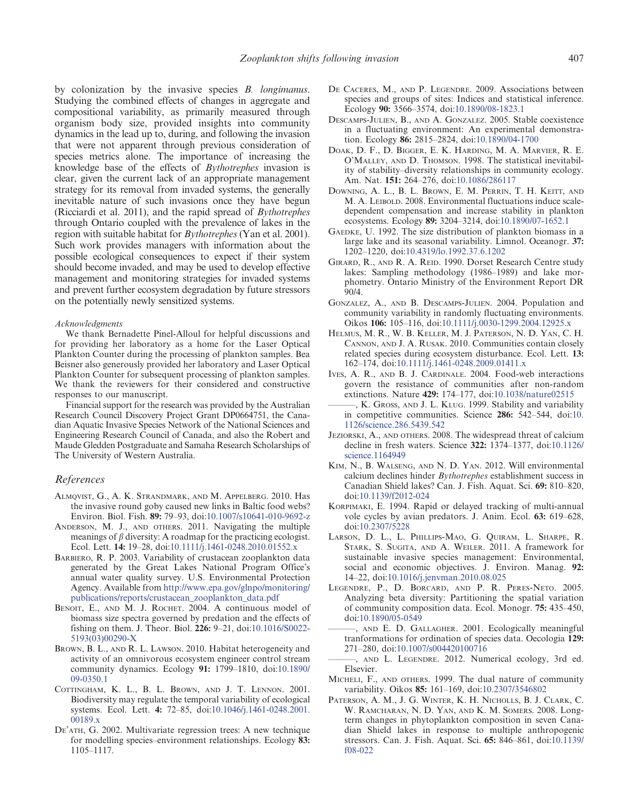by colonization by the invasive species B. longimanus. Studying the combined effects of changes in aggregate and compositional variability, as primarily measured through organism body size, provided insights into community dynamics in the lead up to, during, and following the invasion that were not apparent through previous consideration of species metrics alone. The importance of increasing the knowledge base of the effects of Bythotrephes invasion is clear, given the current lack of an appropriate management strategy for its removal from invaded systems, the generally inevitable nature of such invasions once they have begun (Ricciardi et al. 2011), and the rapid spread of Bythotrephes through Ontario coupled with the prevalence of lakes in the region with suitable habitat for Bythotrephes (Yan et al. 2001). Such work provides managers with information about the possible ecological consequences to expect if their system should become invaded, and may be used to develop effective management and monitoring strategies for invaded systems and prevent further ecosystem degradation by future stressors on the potentially newly sensitized systems.

#### Acknowledgments

We thank Bernadette Pinel-Alloul for helpful discussions and for providing her laboratory as a home for the Laser Optical Plankton Counter during the processing of plankton samples. Bea Beisner also generously provided her laboratory and Laser Optical Plankton Counter for subsequent processing of plankton samples. We thank the reviewers for their considered and constructive responses to our manuscript.

Financial support for the research was provided by the Australian Research Council Discovery Project Grant DP0664751, the Canadian Aquatic Invasive Species Network of the National Sciences and Engineering Research Council of Canada, and also the Robert and Maude Gledden Postgraduate and Samaha Research Scholarships of The University of Western Australia.

# References

- ALMQVIST, G., A. K. STRANDMARK, AND M. APPELBERG. 2010. Has the invasive round goby caused new links in Baltic food webs? Environ. Biol. Fish. 89: 79–9[3, doi:10.1007/s10641-010-9692-z](http://dx.doi.org/10.1007%2Fs10641-010-9692-z)
- ANDERSON, M. J., AND OTHERS. 2011. Navigating the multiple meanings of  $\beta$  diversity: A roadmap for the practicing ecologist. Ecol. Lett. 14: 19–2[8, doi:10.1111/j.1461-0248.2010.01552.x](http://dx.doi.org/10.1111%2Fj.1461-0248.2010.01552.x)
- BARBIERO, R. P. 2003. Variability of crustacean zooplankton data generated by the Great Lakes National Program Office's annual water quality survey. U.S. Environmental Protection Agency. Available from [http://www.epa.gov/glnpo/monitoring/](http://www.epa.gov%2Fglnpo%2Fmonitoring%2Fpublications%2Freports%2Fcrustacean%5Fzooplankton%5Fdata.pdf) [publications/reports/crustacean\\_zooplankton\\_data.pdf](http://www.epa.gov%2Fglnpo%2Fmonitoring%2Fpublications%2Freports%2Fcrustacean%5Fzooplankton%5Fdata.pdf)
- BENOIT, E., AND M. J. ROCHET. 2004. A continuous model of biomass size spectra governed by predation and the effects of fishing on them. J. Theor. Biol. 226: 9–2[1, doi:10.1016/S0022-](http://dx.doi.org/10.1016%2FS0022-5193%2803%2900290-X) [5193\(03\)00290-X](http://dx.doi.org/10.1016%2FS0022-5193%2803%2900290-X)
- BROWN, B. L., AND R. L. LAWSON. 2010. Habitat heterogeneity and activity of an omnivorous ecosystem engineer control stream community dynamics. Ecology 91: 1799–181[0, doi:10.1890/](http://dx.doi.org/10.1890%2F09-0350.1) [09-0350.1](http://dx.doi.org/10.1890%2F09-0350.1)
- COTTINGHAM, K. L., B. L. BROWN, AND J. T. LENNON. 2001. Biodiversity may regulate the temporal variability of ecological systems. Ecol. Lett. 4: 72–85[, doi:10.1046/j.1461-0248.2001.](http://dx.doi.org/10.1046%2Fj.1461-0248.2001.00189.x) [00189.x](http://dx.doi.org/10.1046%2Fj.1461-0248.2001.00189.x)
- DE'ATH, G. 2002. Multivariate regression trees: A new technique for modelling species–environment relationships. Ecology 83: 1105–1117.
- DE CACERES, M., AND P. LEGENDRE. 2009. Associations between species and groups of sites: Indices and statistical inference. Ecology 90: 3566–3574[, doi:10.1890/08-1823.1](http://dx.doi.org/10.1890%2F08-1823.1)
- DESCAMPS-JULIEN, B., AND A. GONZALEZ. 2005. Stable coexistence in a fluctuating environment: An experimental demonstration. Ecology 86: 2815–282[4, doi:10.1890/04-1700](http://dx.doi.org/10.1890%2F04-1700)
- DOAK, D. F., D. BIGGER, E. K. HARDING, M. A. MARVIER, R. E. O'MALLEY, AND D. THOMSON. 1998. The statistical inevitability of stability–diversity relationships in community ecology. Am. Nat. 151: 264–276[, doi:10.1086/286117](http://dx.doi.org/10.1086%2F286117)
- DOWNING, A. L., B. L. BROWN, E. M. PERRIN, T. H. KEITT, AND M. A. LEIBOLD. 2008. Environmental fluctuations induce scaledependent compensation and increase stability in plankton ecosystems. Ecology 89: 3204–3214[, doi:10.1890/07-1652.1](http://dx.doi.org/10.1890%2F07-1652.1)
- GAEDKE, U. 1992. The size distribution of plankton biomass in a large lake and its seasonal variability. Limnol. Oceanogr. 37: 1202–122[0, doi:10.4319/lo.1992.37.6.1202](http://dx.doi.org/10.4319%2Flo.1992.37.6.1202)
- GIRARD, R., AND R. A. REID. 1990. Dorset Research Centre study lakes: Sampling methodology (1986–1989) and lake morphometry. Ontario Ministry of the Environment Report DR 90/4.
- GONZALEZ, A., AND B. DESCAMPS-JULIEN. 2004. Population and community variability in randomly fluctuating environments. Oikos 106: 105–116[, doi:10.1111/j.0030-1299.2004.12925.x](http://dx.doi.org/10.1111%2Fj.0030-1299.2004.12925.x)
- HELMUS, M. R., W. B. KELLER, M. J. PATERSON, N. D. YAN, C. H. CANNON, AND J. A. RUSAK. 2010. Communities contain closely related species during ecosystem disturbance. Ecol. Lett. 13: 162–17[4, doi:10.1111/j.1461-0248.2009.01411.x](http://dx.doi.org/10.1111%2Fj.1461-0248.2009.01411.x)
- IVES, A. R., AND B. J. CARDINALE. 2004. Food-web interactions govern the resistance of communities after non-random extinctions. Nature 429: 174–177[, doi:10.1038/nature02515](http://dx.doi.org/10.1038%2Fnature02515)
- ———, K. GROSS, AND J. L. KLUG. 1999. Stability and variability in competitive communities. Science 286: 542–54[4, doi:10.](http://dx.doi.org/10.1126%2Fscience.286.5439.542) [1126/science.286.5439.542](http://dx.doi.org/10.1126%2Fscience.286.5439.542)
- JEZIORSKI, A., AND OTHERS. 2008. The widespread threat of calcium decline in fresh waters. Science 322: 1374–1377[, doi:10.1126/](http://dx.doi.org/10.1126%2Fscience.1164949) [science.1164949](http://dx.doi.org/10.1126%2Fscience.1164949)
- KIM, N., B. WALSENG, AND N. D. YAN. 2012. Will environmental calcium declines hinder Bythotrephes establishment success in Canadian Shield lakes? Can. J. Fish. Aquat. Sci. 69: 810–82[0,](http://dx.doi.org/10.1139%2Ff2012-024) [doi:10.1139/f2012-024](http://dx.doi.org/10.1139%2Ff2012-024)
- KORPIMAKI, E. 1994. Rapid or delayed tracking of multi-annual vole cycles by avian predators. J. Anim. Ecol. 63: 619–62[8,](http://dx.doi.org/10.2307%2F5228) [doi:10.2307/5228](http://dx.doi.org/10.2307%2F5228)
- LARSON, D. L., L. PHILLIPS-MAO, G. QUIRAM, L. SHARPE, R. STARK, S. SUGITA, AND A. WEILER. 2011. A framework for sustainable invasive species management: Environmental, social and economic objectives. J. Environ. Manag. 92: 14–2[2, doi:10.1016/j.jenvman.2010.08.025](http://dx.doi.org/10.1016%2Fj.jenvman.2010.08.025)
- LEGENDRE, P., D. BORCARD, AND P. R. PERES-NETO. 2005. Analyzing beta diversity: Partitioning the spatial variation of community composition data. Ecol. Monogr. 75: 435–45[0,](http://dx.doi.org/10.1890%2F05-0549) [doi:10.1890/05-0549](http://dx.doi.org/10.1890%2F05-0549)
- ———, AND E. D. GALLAGHER. 2001. Ecologically meaningful tranformations for ordination of species data. Oecologia 129: 271–28[0, doi:10.1007/s004420100716](http://dx.doi.org/10.1007%2Fs004420100716)
- ———, AND L. LEGENDRE. 2012. Numerical ecology, 3rd ed. Elsevier.
- MICHELI, F., AND OTHERS. 1999. The dual nature of community variability. Oikos 85: 161–169[, doi:10.2307/3546802](http://dx.doi.org/10.2307%2F3546802)
- PATERSON, A. M., J. G. WINTER, K. H. NICHOLLS, B. J. CLARK, C. W. RAMCHARAN, N. D. YAN, AND K. M. SOMERS. 2008. Longterm changes in phytoplankton composition in seven Canadian Shield lakes in response to multiple anthropogenic stressors. Can. J. Fish. Aquat. Sci. 65: 846–861[, doi:10.1139/](http://dx.doi.org/10.1139%2Ff08-022) [f08-022](http://dx.doi.org/10.1139%2Ff08-022)